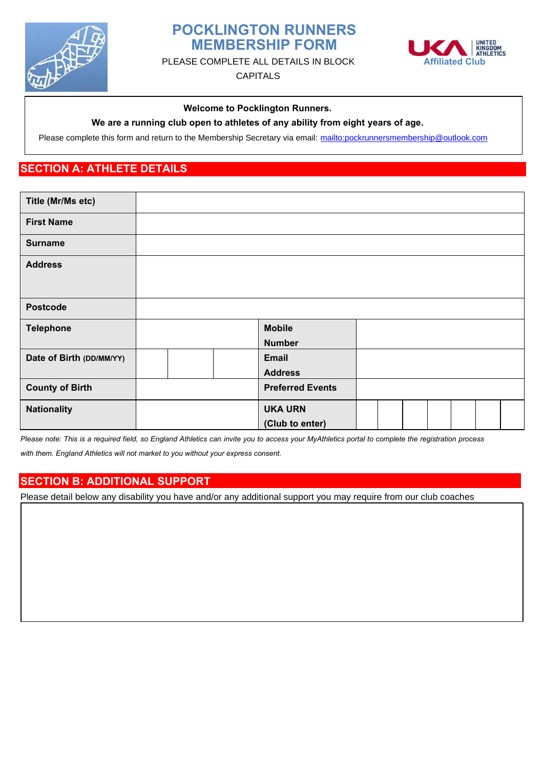

# **POCKLINGTON RUNNERS MEMBERSHIP FORM**



PLEASE COMPLETE ALL DETAILS IN BLOCK **Affiliated Club** 

CAPITALS

#### **Welcome to Pocklington Runners.**

#### **We are a running club open to athletes of any ability from eight years of age.**

Please complete this form and return to the Membership Secretary via email:<mailto:pockrunnersmembership@outlook.com>

## **SECTION A: ATHLETE DETAILS**

| Title (Mr/Ms etc)        |                         |  |  |  |
|--------------------------|-------------------------|--|--|--|
| <b>First Name</b>        |                         |  |  |  |
| <b>Surname</b>           |                         |  |  |  |
| <b>Address</b>           |                         |  |  |  |
|                          |                         |  |  |  |
| <b>Postcode</b>          |                         |  |  |  |
| <b>Telephone</b>         | <b>Mobile</b>           |  |  |  |
|                          | <b>Number</b>           |  |  |  |
| Date of Birth (DD/MM/YY) | <b>Email</b>            |  |  |  |
|                          | <b>Address</b>          |  |  |  |
| <b>County of Birth</b>   | <b>Preferred Events</b> |  |  |  |
| <b>Nationality</b>       | <b>UKA URN</b>          |  |  |  |
|                          | (Club to enter)         |  |  |  |

*Please note: This is a required field, so England Athletics can invite you to access your MyAthletics portal to complete the registration process with them. England Athletics will not market to you without your express consent.*

## **SECTION B: ADDITIONAL SUPPORT**

Please detail below any disability you have and/or any additional support you may require from our club coaches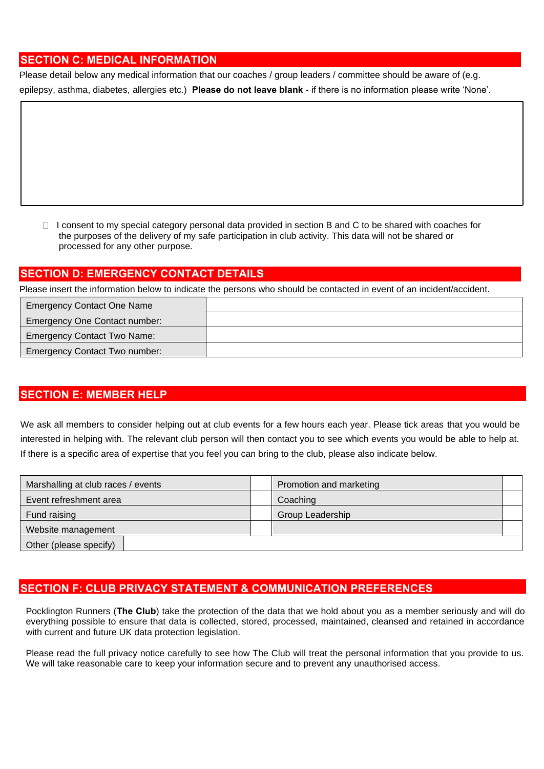#### **SECTION C: MEDICAL INFORMATION**

Please detail below any medical information that our coaches / group leaders / committee should be aware of (e.g. epilepsy, asthma, diabetes, allergies etc.) **Please do not leave blank** - if there is no information please write 'None'.

 $\Box$  I consent to my special category personal data provided in section B and C to be shared with coaches for the purposes of the delivery of my safe participation in club activity. This data will not be shared or processed for any other purpose.

## **SECTION D: EMERGENCY CONTACT DETAILS**

Please insert the information below to indicate the persons who should be contacted in event of an incident/accident.

| <b>Emergency Contact One Name</b>  |  |
|------------------------------------|--|
| Emergency One Contact number:      |  |
| <b>Emergency Contact Two Name:</b> |  |
| Emergency Contact Two number:      |  |

## **SECTION E: MEMBER HELP**

We ask all members to consider helping out at club events for a few hours each year. Please tick areas that you would be interested in helping with. The relevant club person will then contact you to see which events you would be able to help at. If there is a specific area of expertise that you feel you can bring to the club, please also indicate below.

| Marshalling at club races / events |  | Promotion and marketing |  |
|------------------------------------|--|-------------------------|--|
| Event refreshment area             |  | Coaching                |  |
| Fund raising                       |  | <b>Group Leadership</b> |  |
| Website management                 |  |                         |  |
| Other (please specify)             |  |                         |  |

## **SECTION F: CLUB PRIVACY STATEMENT & COMMUNICATION PREFERENCES**

Pocklington Runners (**The Club**) take the protection of the data that we hold about you as a member seriously and will do everything possible to ensure that data is collected, stored, processed, maintained, cleansed and retained in accordance with current and future UK data protection legislation.

Please read the full privacy notice carefully to see how The Club will treat the personal information that you provide to us. We will take reasonable care to keep your information secure and to prevent any unauthorised access.